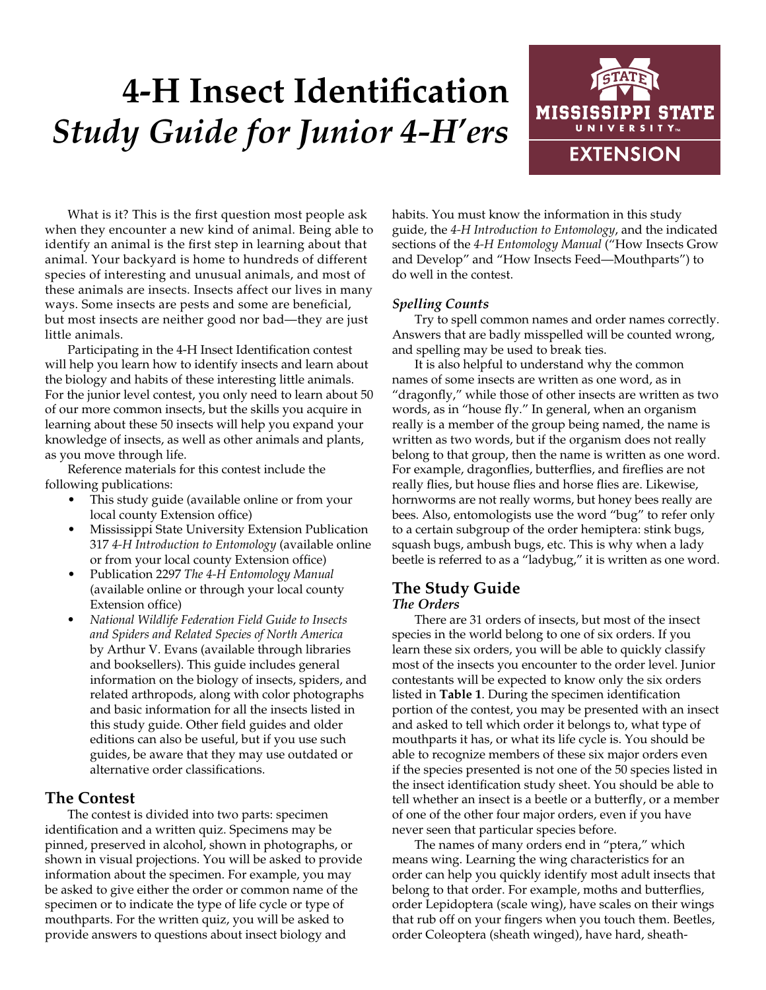# **4-H Insect Identification** *Study Guide for Junior 4-H'ers*



What is it? This is the first question most people ask when they encounter a new kind of animal. Being able to identify an animal is the first step in learning about that animal. Your backyard is home to hundreds of different species of interesting and unusual animals, and most of these animals are insects. Insects affect our lives in many ways. Some insects are pests and some are beneficial, but most insects are neither good nor bad—they are just little animals.

Participating in the 4-H Insect Identification contest will help you learn how to identify insects and learn about the biology and habits of these interesting little animals. For the junior level contest, you only need to learn about 50 of our more common insects, but the skills you acquire in learning about these 50 insects will help you expand your knowledge of insects, as well as other animals and plants, as you move through life.

Reference materials for this contest include the following publications:

- This study guide (available online or from your local county Extension office)
- Mississippi State University Extension Publication 317 *4-H Introduction to Entomology* (available online or from your local county Extension office)
- Publication 2297 *The 4-H Entomology Manual* (available online or through your local county Extension office)
- *• National Wildlife Federation Field Guide to Insects and Spiders and Related Species of North America*  by Arthur V. Evans (available through libraries and booksellers). This guide includes general information on the biology of insects, spiders, and related arthropods, along with color photographs and basic information for all the insects listed in this study guide. Other field guides and older editions can also be useful, but if you use such guides, be aware that they may use outdated or alternative order classifications.

# **The Contest**

The contest is divided into two parts: specimen identification and a written quiz. Specimens may be pinned, preserved in alcohol, shown in photographs, or shown in visual projections. You will be asked to provide information about the specimen. For example, you may be asked to give either the order or common name of the specimen or to indicate the type of life cycle or type of mouthparts. For the written quiz, you will be asked to provide answers to questions about insect biology and

habits. You must know the information in this study guide, the *4-H Introduction to Entomology*, and the indicated sections of the *4-H Entomology Manual* ("How Insects Grow and Develop" and "How Insects Feed—Mouthparts") to do well in the contest.

# *Spelling Counts*

Try to spell common names and order names correctly. Answers that are badly misspelled will be counted wrong, and spelling may be used to break ties.

It is also helpful to understand why the common names of some insects are written as one word, as in "dragonfly," while those of other insects are written as two words, as in "house fly." In general, when an organism really is a member of the group being named, the name is written as two words, but if the organism does not really belong to that group, then the name is written as one word. For example, dragonflies, butterflies, and fireflies are not really flies, but house flies and horse flies are. Likewise, hornworms are not really worms, but honey bees really are bees. Also, entomologists use the word "bug" to refer only to a certain subgroup of the order hemiptera: stink bugs, squash bugs, ambush bugs, etc. This is why when a lady beetle is referred to as a "ladybug," it is written as one word.

# **The Study Guide** *The Orders*

There are 31 orders of insects, but most of the insect species in the world belong to one of six orders. If you learn these six orders, you will be able to quickly classify most of the insects you encounter to the order level. Junior contestants will be expected to know only the six orders listed in **Table 1**. During the specimen identification portion of the contest, you may be presented with an insect and asked to tell which order it belongs to, what type of mouthparts it has, or what its life cycle is. You should be able to recognize members of these six major orders even if the species presented is not one of the 50 species listed in the insect identification study sheet. You should be able to tell whether an insect is a beetle or a butterfly, or a member of one of the other four major orders, even if you have never seen that particular species before.

The names of many orders end in "ptera," which means wing. Learning the wing characteristics for an order can help you quickly identify most adult insects that belong to that order. For example, moths and butterflies, order Lepidoptera (scale wing), have scales on their wings that rub off on your fingers when you touch them. Beetles, order Coleoptera (sheath winged), have hard, sheath-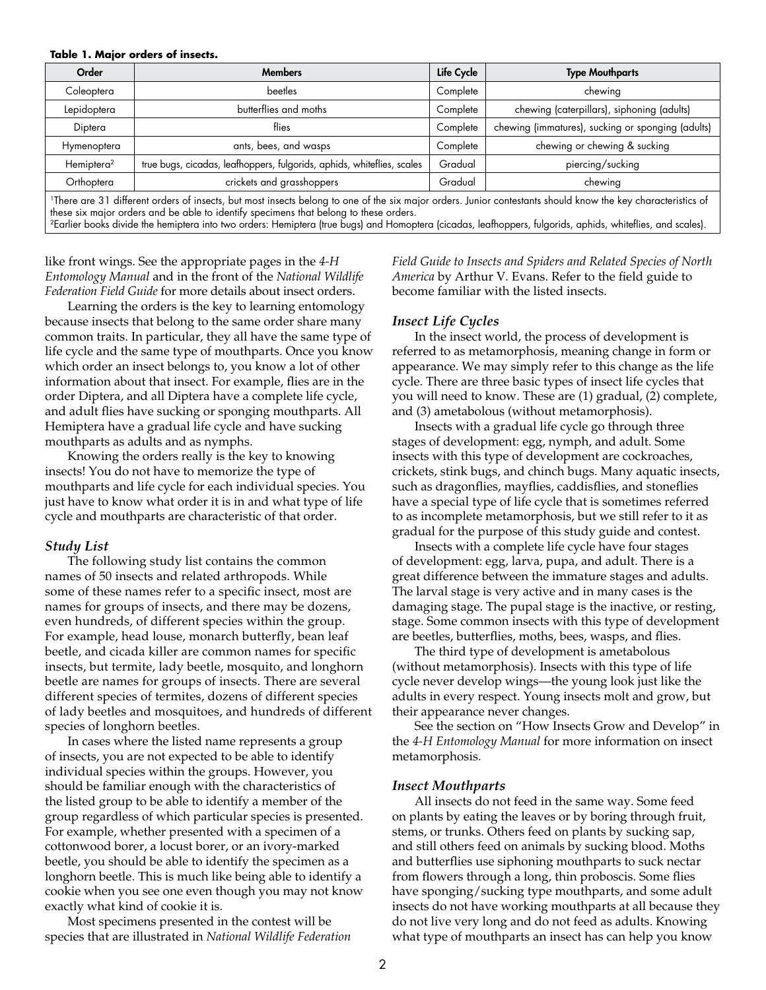#### **Table 1. Major orders of insects.**

| Order                                                                                                                                                                    | <b>Members</b>                                                         | Life Cycle | <b>Type Mouthparts</b>                            |  |  |
|--------------------------------------------------------------------------------------------------------------------------------------------------------------------------|------------------------------------------------------------------------|------------|---------------------------------------------------|--|--|
| Coleoptera                                                                                                                                                               | <b>beetles</b>                                                         | Complete   | chewing                                           |  |  |
| Lepidoptera                                                                                                                                                              | butterflies and moths                                                  | Complete   | chewing (caterpillars), siphoning (adults)        |  |  |
| Diptera                                                                                                                                                                  | flies                                                                  | Complete   | chewing (immatures), sucking or sponging (adults) |  |  |
| Hymenoptera                                                                                                                                                              | ants, bees, and wasps                                                  | Complete   | chewing or chewing & sucking                      |  |  |
| Hemiptera <sup>2</sup>                                                                                                                                                   | true bugs, cicadas, leafhoppers, fulgorids, aphids, whiteflies, scales | Gradual    | piercing/sucking                                  |  |  |
| Orthoptera                                                                                                                                                               | crickets and grasshoppers                                              | Gradual    | chewing                                           |  |  |
| <sup>1</sup> There are 31 different orders of insects, but most insects belong to one of the six major orders. Junior contestants should know the key characteristics of |                                                                        |            |                                                   |  |  |

these six major orders and be able to identify specimens that belong to these orders. 2Earlier books divide the hemiptera into two orders: Hemiptera (true bugs) and Homoptera (cicadas, leafhoppers, fulgorids, aphids, whiteflies, and scales).

like front wings. See the appropriate pages in the *4-H Entomology Manual* and in the front of the *National Wildlife Federation Field Guide* for more details about insect orders.

Learning the orders is the key to learning entomology because insects that belong to the same order share many common traits. In particular, they all have the same type of life cycle and the same type of mouthparts. Once you know which order an insect belongs to, you know a lot of other information about that insect. For example, flies are in the order Diptera, and all Diptera have a complete life cycle, and adult flies have sucking or sponging mouthparts. All Hemiptera have a gradual life cycle and have sucking mouthparts as adults and as nymphs.

Knowing the orders really is the key to knowing insects! You do not have to memorize the type of mouthparts and life cycle for each individual species. You just have to know what order it is in and what type of life cycle and mouthparts are characteristic of that order.

## *Study List*

The following study list contains the common names of 50 insects and related arthropods. While some of these names refer to a specific insect, most are names for groups of insects, and there may be dozens, even hundreds, of different species within the group. For example, head louse, monarch butterfly, bean leaf beetle, and cicada killer are common names for specific insects, but termite, lady beetle, mosquito, and longhorn beetle are names for groups of insects. There are several different species of termites, dozens of different species of lady beetles and mosquitoes, and hundreds of different species of longhorn beetles.

In cases where the listed name represents a group of insects, you are not expected to be able to identify individual species within the groups. However, you should be familiar enough with the characteristics of the listed group to be able to identify a member of the group regardless of which particular species is presented. For example, whether presented with a specimen of a cottonwood borer, a locust borer, or an ivory-marked beetle, you should be able to identify the specimen as a longhorn beetle. This is much like being able to identify a cookie when you see one even though you may not know exactly what kind of cookie it is.

Most specimens presented in the contest will be species that are illustrated in *National Wildlife Federation*  *Field Guide to Insects and Spiders and Related Species of North America* by Arthur V. Evans. Refer to the field guide to become familiar with the listed insects.

## *Insect Life Cycles*

In the insect world, the process of development is referred to as metamorphosis, meaning change in form or appearance. We may simply refer to this change as the life cycle. There are three basic types of insect life cycles that you will need to know. These are (1) gradual, (2) complete, and (3) ametabolous (without metamorphosis).

Insects with a gradual life cycle go through three stages of development: egg, nymph, and adult. Some insects with this type of development are cockroaches, crickets, stink bugs, and chinch bugs. Many aquatic insects, such as dragonflies, mayflies, caddisflies, and stoneflies have a special type of life cycle that is sometimes referred to as incomplete metamorphosis, but we still refer to it as gradual for the purpose of this study guide and contest.

Insects with a complete life cycle have four stages of development: egg, larva, pupa, and adult. There is a great difference between the immature stages and adults. The larval stage is very active and in many cases is the damaging stage. The pupal stage is the inactive, or resting, stage. Some common insects with this type of development are beetles, butterflies, moths, bees, wasps, and flies.

The third type of development is ametabolous (without metamorphosis). Insects with this type of life cycle never develop wings—the young look just like the adults in every respect. Young insects molt and grow, but their appearance never changes.

See the section on "How Insects Grow and Develop" in the *4-H Entomology Manual* for more information on insect metamorphosis.

## *Insect Mouthparts*

All insects do not feed in the same way. Some feed on plants by eating the leaves or by boring through fruit, stems, or trunks. Others feed on plants by sucking sap, and still others feed on animals by sucking blood. Moths and butterflies use siphoning mouthparts to suck nectar from flowers through a long, thin proboscis. Some flies have sponging/sucking type mouthparts, and some adult insects do not have working mouthparts at all because they do not live very long and do not feed as adults. Knowing what type of mouthparts an insect has can help you know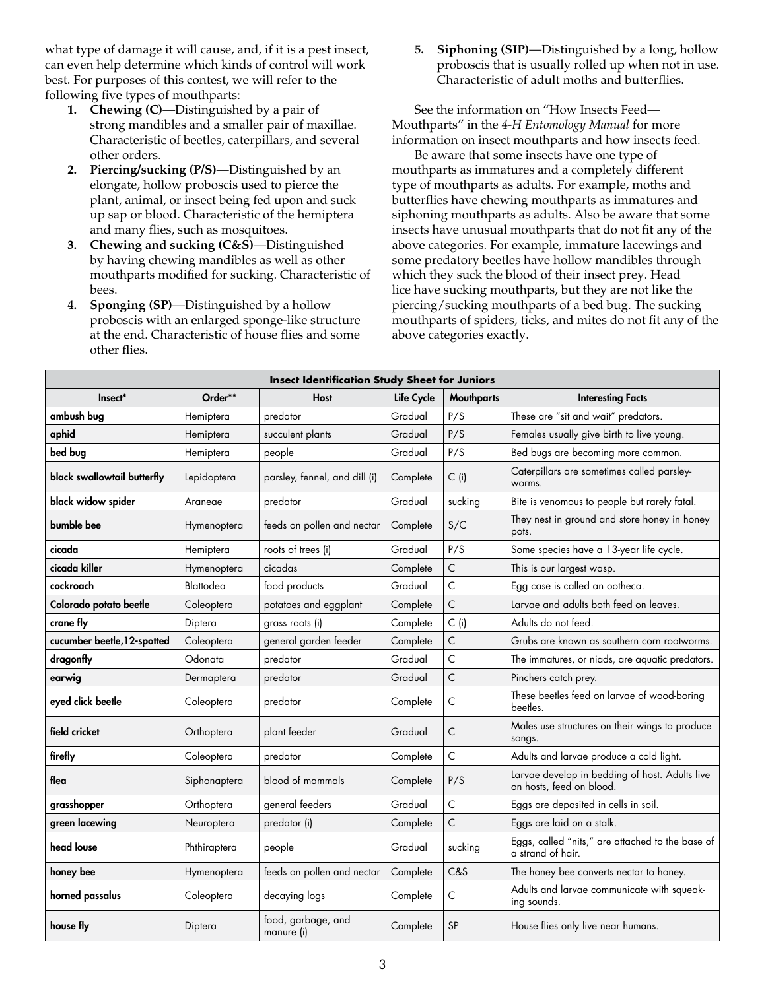what type of damage it will cause, and, if it is a pest insect, can even help determine which kinds of control will work best. For purposes of this contest, we will refer to the following five types of mouthparts:

- **1. Chewing (C)**—Distinguished by a pair of strong mandibles and a smaller pair of maxillae. Characteristic of beetles, caterpillars, and several other orders.
- **2. Piercing/sucking (P/S)**—Distinguished by an elongate, hollow proboscis used to pierce the plant, animal, or insect being fed upon and suck up sap or blood. Characteristic of the hemiptera and many flies, such as mosquitoes.
- **3. Chewing and sucking (C&S)**—Distinguished by having chewing mandibles as well as other mouthparts modified for sucking. Characteristic of bees.
- **4. Sponging (SP)**—Distinguished by a hollow proboscis with an enlarged sponge-like structure at the end. Characteristic of house flies and some other flies.

**5. Siphoning (SIP)**—Distinguished by a long, hollow proboscis that is usually rolled up when not in use. Characteristic of adult moths and butterflies.

See the information on "How Insects Feed— Mouthparts" in the *4-H Entomology Manual* for more information on insect mouthparts and how insects feed.

Be aware that some insects have one type of mouthparts as immatures and a completely different type of mouthparts as adults. For example, moths and butterflies have chewing mouthparts as immatures and siphoning mouthparts as adults. Also be aware that some insects have unusual mouthparts that do not fit any of the above categories. For example, immature lacewings and some predatory beetles have hollow mandibles through which they suck the blood of their insect prey. Head lice have sucking mouthparts, but they are not like the piercing/sucking mouthparts of a bed bug. The sucking mouthparts of spiders, ticks, and mites do not fit any of the above categories exactly.

| <b>Insect Identification Study Sheet for Juniors</b> |              |                                  |            |                   |                                                                            |  |  |  |
|------------------------------------------------------|--------------|----------------------------------|------------|-------------------|----------------------------------------------------------------------------|--|--|--|
| Insect*                                              | Order**      | <b>Host</b>                      | Life Cycle | <b>Mouthparts</b> | <b>Interesting Facts</b>                                                   |  |  |  |
| ambush bug                                           | Hemiptera    | predator                         | Gradual    | P/S               | These are "sit and wait" predators.                                        |  |  |  |
| aphid                                                | Hemiptera    | succulent plants                 | Gradual    | P/S               | Females usually give birth to live young.                                  |  |  |  |
| bed bug                                              | Hemiptera    | people                           | Gradual    | P/S               | Bed bugs are becoming more common.                                         |  |  |  |
| black swallowtail butterfly                          | Lepidoptera  | parsley, fennel, and dill (i)    | Complete   | $C$ (i)           | Caterpillars are sometimes called parsley-<br>worms.                       |  |  |  |
| black widow spider                                   | Araneae      | predator                         | Gradual    | sucking           | Bite is venomous to people but rarely fatal.                               |  |  |  |
| bumble bee                                           | Hymenoptera  | feeds on pollen and nectar       | Complete   | S/C               | They nest in ground and store honey in honey<br>pots.                      |  |  |  |
| cicada                                               | Hemiptera    | roots of trees (i)               | Gradual    | P/S               | Some species have a 13-year life cycle.                                    |  |  |  |
| cicada killer                                        | Hymenoptera  | cicadas                          | Complete   | C                 | This is our largest wasp.                                                  |  |  |  |
| cockroach                                            | Blattodea    | food products                    | Gradual    | C                 | Egg case is called an ootheca.                                             |  |  |  |
| Colorado potato beetle                               | Coleoptera   | potatoes and eggplant            | Complete   | $\mathsf{C}$      | Larvae and adults both feed on leaves.                                     |  |  |  |
| crane fly                                            | Diptera      | grass roots (i)                  | Complete   | $C$ (i)           | Adults do not feed.                                                        |  |  |  |
| cucumber beetle, 12-spotted                          | Coleoptera   | general garden feeder            | Complete   | C                 | Grubs are known as southern corn rootworms.                                |  |  |  |
| dragonfly                                            | Odonata      | predator                         | Gradual    | C                 | The immatures, or niads, are aquatic predators.                            |  |  |  |
| earwig                                               | Dermaptera   | predator                         | Gradual    | C                 | Pinchers catch prey.                                                       |  |  |  |
| eyed click beetle                                    | Coleoptera   | predator                         | Complete   | C                 | These beetles feed on larvae of wood-boring<br>beetles.                    |  |  |  |
| field cricket                                        | Orthoptera   | plant feeder                     | Gradual    | C                 | Males use structures on their wings to produce<br>songs.                   |  |  |  |
| firefly                                              | Coleoptera   | predator                         | Complete   | C                 | Adults and larvae produce a cold light.                                    |  |  |  |
| flea                                                 | Siphonaptera | blood of mammals                 | Complete   | P/S               | Larvae develop in bedding of host. Adults live<br>on hosts, feed on blood. |  |  |  |
| grasshopper                                          | Orthoptera   | general feeders                  | Gradual    | C                 | Eggs are deposited in cells in soil.                                       |  |  |  |
| green lacewing                                       | Neuroptera   | predator (i)                     | Complete   | C                 | Eggs are laid on a stalk.                                                  |  |  |  |
| head louse                                           | Phthiraptera | people                           | Gradual    | sucking           | Eggs, called "nits," are attached to the base of<br>a strand of hair.      |  |  |  |
| honey bee                                            | Hymenoptera  | feeds on pollen and nectar       | Complete   | C&S               | The honey bee converts nectar to honey.                                    |  |  |  |
| horned passalus                                      | Coleoptera   | decaying logs                    | Complete   | C                 | Adults and larvae communicate with squeak-<br>ing sounds.                  |  |  |  |
| house fly                                            | Diptera      | food, garbage, and<br>manure (i) | Complete   | <b>SP</b>         | House flies only live near humans.                                         |  |  |  |